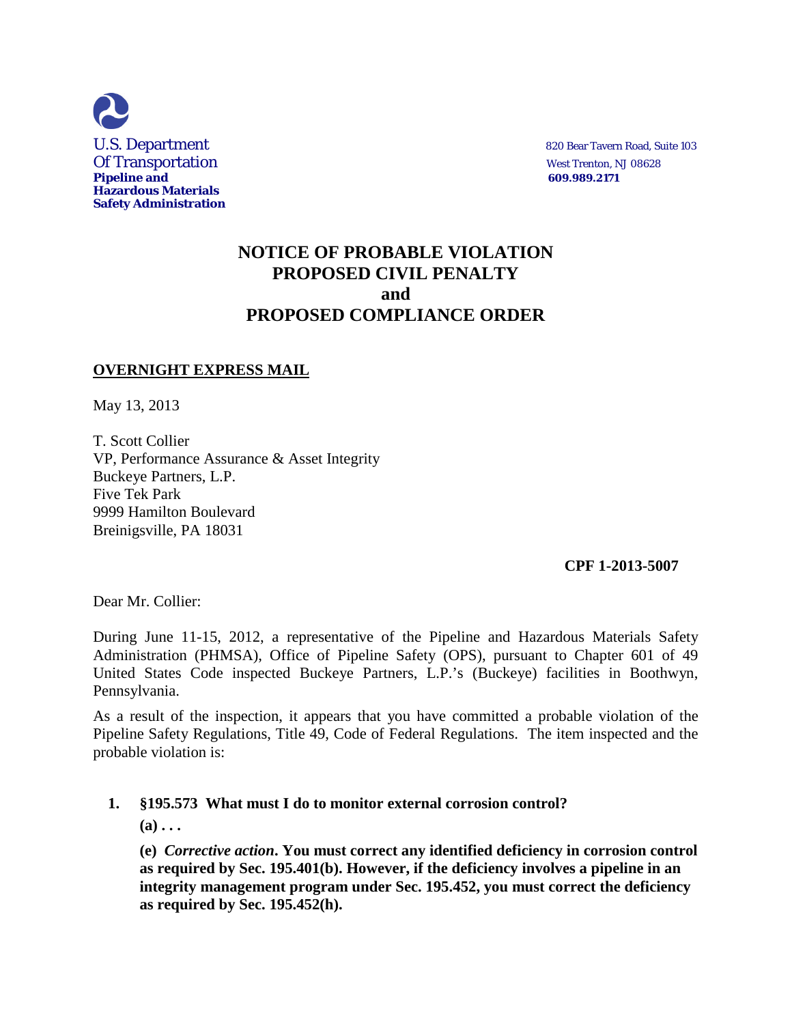

# **NOTICE OF PROBABLE VIOLATION PROPOSED CIVIL PENALTY and PROPOSED COMPLIANCE ORDER**

## **OVERNIGHT EXPRESS MAIL**

May 13, 2013

T. Scott Collier VP, Performance Assurance & Asset Integrity Buckeye Partners, L.P. Five Tek Park 9999 Hamilton Boulevard Breinigsville, PA 18031

#### **CPF 1-2013-5007**

Dear Mr. Collier:

During June 11-15, 2012, a representative of the Pipeline and Hazardous Materials Safety Administration (PHMSA), Office of Pipeline Safety (OPS), pursuant to Chapter 601 of 49 United States Code inspected Buckeye Partners, L.P.'s (Buckeye) facilities in Boothwyn, Pennsylvania.

As a result of the inspection, it appears that you have committed a probable violation of the Pipeline Safety Regulations, Title 49, Code of Federal Regulations. The item inspected and the probable violation is:

## **1. §195.573 What must I do to monitor external corrosion control?**

 **(a) . . .** 

**(e)** *Corrective action***. You must correct any identified deficiency in corrosion control as required by Sec. 195.401(b). However, if the deficiency involves a pipeline in an integrity management program under Sec. 195.452, you must correct the deficiency as required by Sec. 195.452(h).**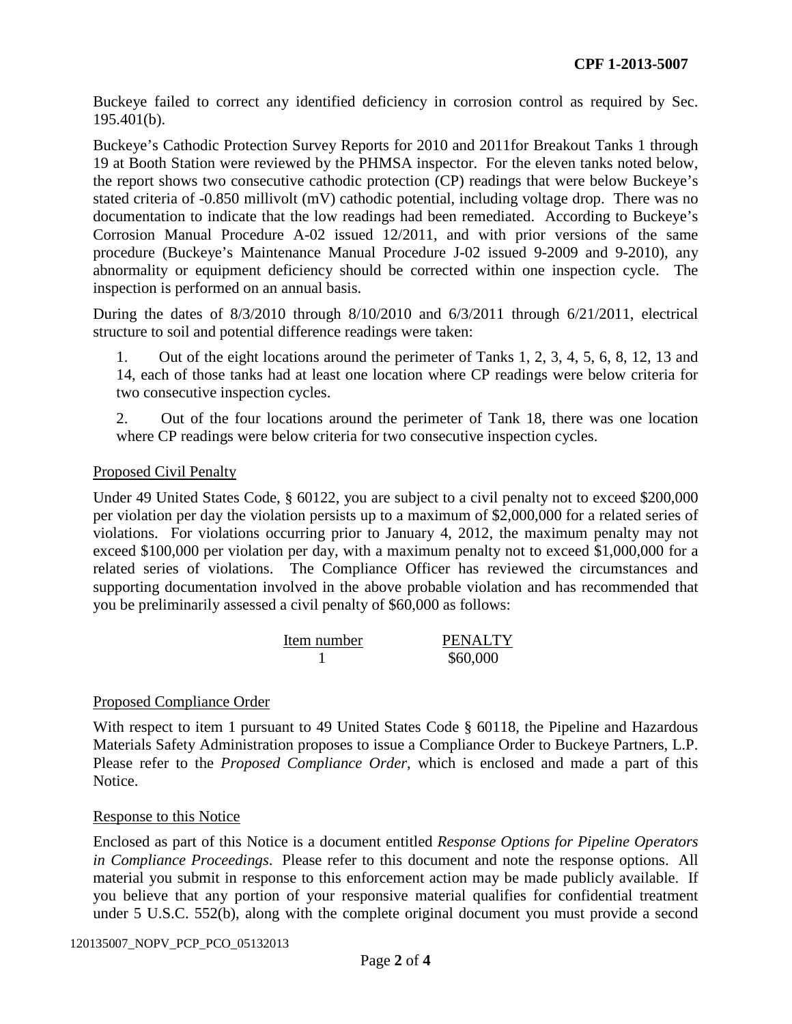Buckeye failed to correct any identified deficiency in corrosion control as required by Sec. 195.401(b).

Buckeye's Cathodic Protection Survey Reports for 2010 and 2011for Breakout Tanks 1 through 19 at Booth Station were reviewed by the PHMSA inspector. For the eleven tanks noted below, the report shows two consecutive cathodic protection (CP) readings that were below Buckeye's stated criteria of -0.850 millivolt (mV) cathodic potential, including voltage drop. There was no documentation to indicate that the low readings had been remediated. According to Buckeye's Corrosion Manual Procedure A-02 issued 12/2011, and with prior versions of the same procedure (Buckeye's Maintenance Manual Procedure J-02 issued 9-2009 and 9-2010), any abnormality or equipment deficiency should be corrected within one inspection cycle. The inspection is performed on an annual basis.

During the dates of 8/3/2010 through 8/10/2010 and 6/3/2011 through 6/21/2011, electrical structure to soil and potential difference readings were taken:

1. Out of the eight locations around the perimeter of Tanks 1, 2, 3, 4, 5, 6, 8, 12, 13 and 14, each of those tanks had at least one location where CP readings were below criteria for two consecutive inspection cycles.

2. Out of the four locations around the perimeter of Tank 18, there was one location where CP readings were below criteria for two consecutive inspection cycles.

## Proposed Civil Penalty

Under 49 United States Code, § 60122, you are subject to a civil penalty not to exceed \$200,000 per violation per day the violation persists up to a maximum of \$2,000,000 for a related series of violations. For violations occurring prior to January 4, 2012, the maximum penalty may not exceed \$100,000 per violation per day, with a maximum penalty not to exceed \$1,000,000 for a related series of violations. The Compliance Officer has reviewed the circumstances and supporting documentation involved in the above probable violation and has recommended that you be preliminarily assessed a civil penalty of \$60,000 as follows:

| Item number | <b>PENALTY</b> |
|-------------|----------------|
|             | \$60,000       |

## Proposed Compliance Order

With respect to item 1 pursuant to 49 United States Code § 60118, the Pipeline and Hazardous Materials Safety Administration proposes to issue a Compliance Order to Buckeye Partners, L.P. Please refer to the *Proposed Compliance Order*, which is enclosed and made a part of this Notice.

#### Response to this Notice

Enclosed as part of this Notice is a document entitled *Response Options for Pipeline Operators in Compliance Proceedings*. Please refer to this document and note the response options. All material you submit in response to this enforcement action may be made publicly available. If you believe that any portion of your responsive material qualifies for confidential treatment under 5 U.S.C. 552(b), along with the complete original document you must provide a second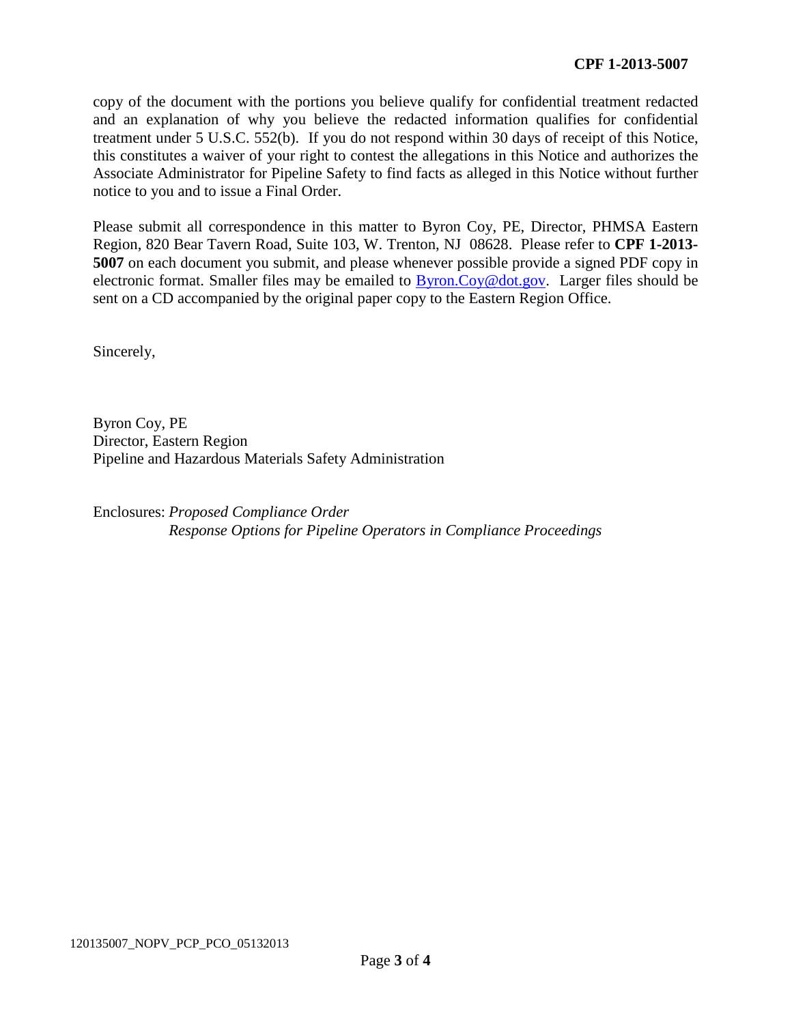copy of the document with the portions you believe qualify for confidential treatment redacted and an explanation of why you believe the redacted information qualifies for confidential treatment under 5 U.S.C. 552(b). If you do not respond within 30 days of receipt of this Notice, this constitutes a waiver of your right to contest the allegations in this Notice and authorizes the Associate Administrator for Pipeline Safety to find facts as alleged in this Notice without further notice to you and to issue a Final Order.

Please submit all correspondence in this matter to Byron Coy, PE, Director, PHMSA Eastern Region, 820 Bear Tavern Road, Suite 103, W. Trenton, NJ 08628. Please refer to **CPF 1-2013- 5007** on each document you submit, and please whenever possible provide a signed PDF copy in electronic format. Smaller files may be emailed to Byron.Coy@dot.gov. Larger files should be sent on a CD accompanied by the original paper copy to the Eastern Region Office.

Sincerely,

Byron Coy, PE Director, Eastern Region Pipeline and Hazardous Materials Safety Administration

Enclosures: *Proposed Compliance Order Response Options for Pipeline Operators in Compliance Proceedings*